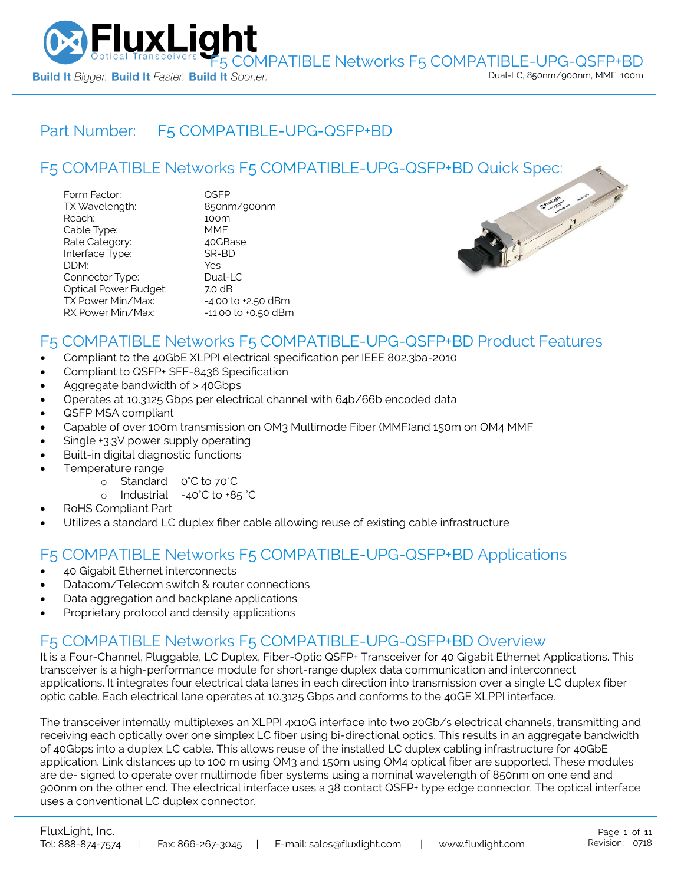

## Part Number: [F5 COMPATIBLE-UPG-QSFP+BD](https://www.fluxlight.com/F5-UPG-QSFPBD/)

|                                                                                                                                                         |                                                                                                  | F5 COMPATIBLE Networks F5 COMPATIBLE-UPG-QSFP+BD Quick Spec: |
|---------------------------------------------------------------------------------------------------------------------------------------------------------|--------------------------------------------------------------------------------------------------|--------------------------------------------------------------|
| Form Factor:<br>TX Wavelength:<br>Reach:<br>Cable Type:<br>Rate Category:<br>Interface Type:<br>DDM:<br>Connector Type:<br><b>Optical Power Budget:</b> | <b>QSFP</b><br>850nm/900nm<br>100m<br><b>MMF</b><br>40GBase<br>SR-BD<br>Yes<br>Dual-LC<br>7.0 dB | C. Sunt int                                                  |
| TX Power Min/Max:<br>RX Power Min/Max:                                                                                                                  | $-4.00$ to $+2.50$ dBm<br>$-11.00$ to $+0.50$ dBm                                                |                                                              |



## F5 COMPATIBLE Networks [F5 COMPATIBLE-UPG-QSFP+BD](https://www.fluxlight.com/F5-UPG-QSFPBD/) Product Features

- Compliant to the 40GbE XLPPI electrical specification per IEEE 802.3ba-2010
- Compliant to QSFP+ SFF-8436 Specification
- Aggregate bandwidth of > 40Gbps
- Operates at 10.3125 Gbps per electrical channel with 64b/66b encoded data
- QSFP MSA compliant
- Capable of over 100m transmission on OM3 Multimode Fiber (MMF)and 150m on OM4 MMF
- Single +3.3V power supply operating
- Built-in digital diagnostic functions
- Temperature range
	- o Standard 0°C to 70°C
	- o Industrial -40°C to +85 °C
- RoHS Compliant Part
- Utilizes a standard LC duplex fiber cable allowing reuse of existing cable infrastructure

## F5 COMPATIBLE Networks [F5 COMPATIBLE-UPG-QSFP+BD](https://www.fluxlight.com/F5-UPG-QSFPBD/) Applications

- 40 Gigabit Ethernet interconnects
- Datacom/Telecom switch & router connections
- Data aggregation and backplane applications
- Proprietary protocol and density applications

## F5 COMPATIBLE Networks [F5 COMPATIBLE-UPG-QSFP+BD](https://www.fluxlight.com/F5-UPG-QSFPBD/) Overview

It is a Four-Channel, Pluggable, LC Duplex, Fiber-Optic QSFP+ Transceiver for 40 Gigabit Ethernet Applications. This transceiver is a high-performance module for short-range duplex data communication and interconnect applications. It integrates four electrical data lanes in each direction into transmission over a single LC duplex fiber optic cable. Each electrical lane operates at 10.3125 Gbps and conforms to the 40GE XLPPI interface.

The transceiver internally multiplexes an XLPPI 4x10G interface into two 20Gb/s electrical channels, transmitting and receiving each optically over one simplex LC fiber using bi-directional optics. This results in an aggregate bandwidth of 40Gbps into a duplex LC cable. This allows reuse of the installed LC duplex cabling infrastructure for 40GbE application. Link distances up to 100 m using OM3 and 150m using OM4 optical fiber are supported. These modules are de- signed to operate over multimode fiber systems using a nominal wavelength of 850nm on one end and 900nm on the other end. The electrical interface uses a 38 contact QSFP+ type edge connector. The optical interface uses a conventional LC duplex connector.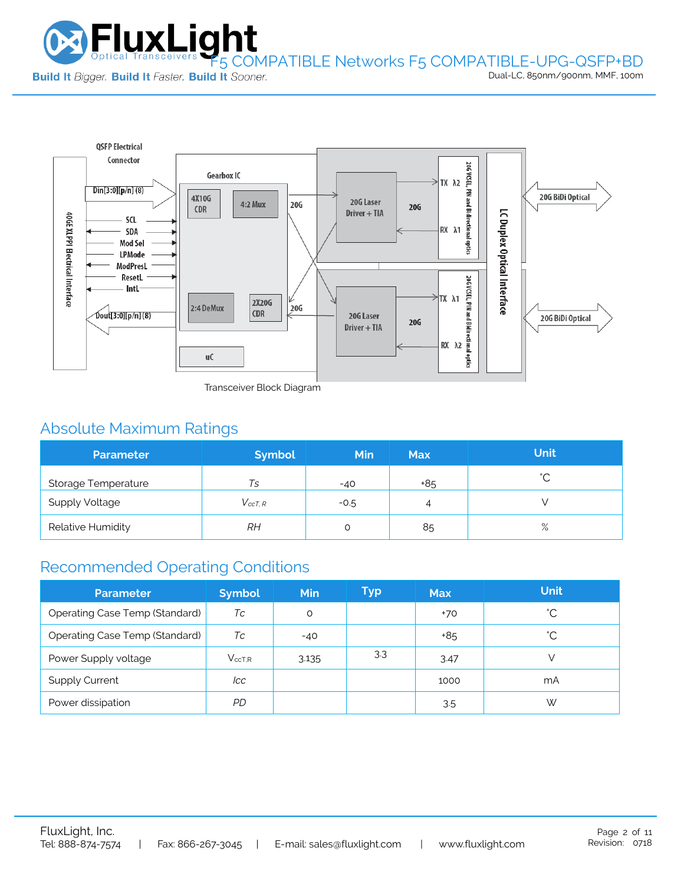

Dual-LC, 850nm/900nm, MMF, 100m



Transceiver Block Diagram

# Absolute Maximum Ratings

| <b>Parameter</b>           | <b>Symbol</b>  | Min    | <b>Max</b> | <b>Unit</b> |
|----------------------------|----------------|--------|------------|-------------|
| <b>Storage Temperature</b> | Ts             | $-40$  | +85        | $\hat{ }$   |
| <b>Supply Voltage</b>      | $V_{c c T. R}$ | $-0.5$ | 4          |             |
| Relative Humidity          | RH             |        | 85         | $\%$        |

# Recommended Operating Conditions

| <b>Parameter</b>                      | <b>Symbol</b> | <b>Min</b> | Typ | <b>Max</b> | <b>Unit</b>  |
|---------------------------------------|---------------|------------|-----|------------|--------------|
| <b>Operating Case Temp (Standard)</b> | Тc            | O          |     | $+70$      | °С           |
| <b>Operating Case Temp (Standard)</b> | Тc            | $-40$      |     | +85        | $^{\circ}$ C |
| Power Supply voltage                  | $V_{ccT.R}$   | 3.135      | 3.3 | 3.47       |              |
| <b>Supply Current</b>                 | lcc           |            |     | 1000       | mA           |
| Power dissipation                     | PD.           |            |     | 3.5        | W            |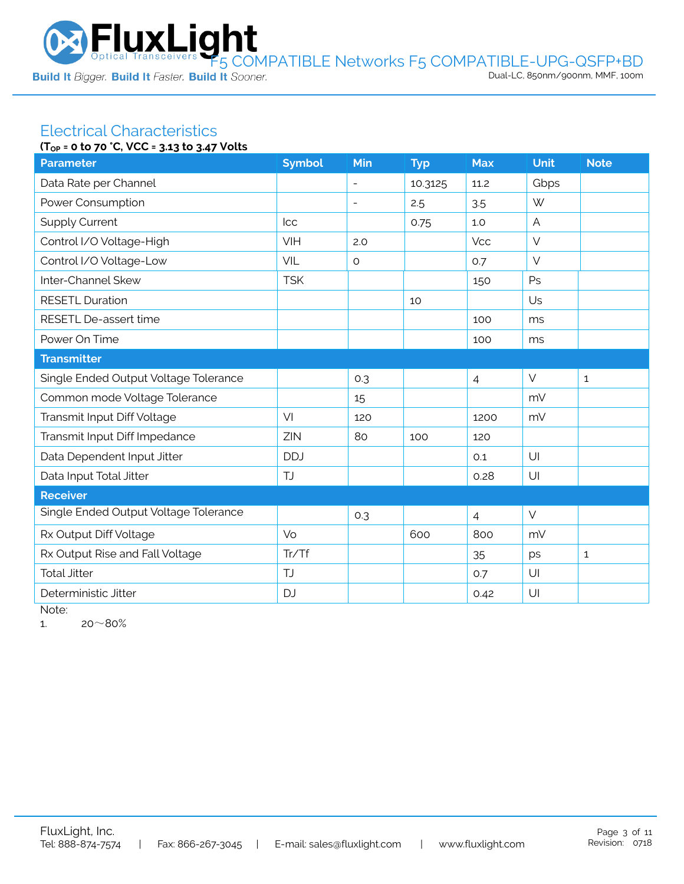

#### Electrical Characteristics **(TOP = 0 to 70 °C, VCC = 3.13 to 3.47 Volts**

|                                       | $10P = 0$ to $70$ c, $0C = 3.13$ to $3.47$ votts |                          |            |                |        |              |  |
|---------------------------------------|--------------------------------------------------|--------------------------|------------|----------------|--------|--------------|--|
| <b>Parameter</b>                      | <b>Symbol</b>                                    | Min                      | <b>Typ</b> | <b>Max</b>     | Unit   | <b>Note</b>  |  |
| Data Rate per Channel                 |                                                  | $\blacksquare$           | 10.3125    | 11.2           | Gbps   |              |  |
| Power Consumption                     |                                                  | $\overline{\phantom{a}}$ | 2.5        | 3.5            | W      |              |  |
| <b>Supply Current</b>                 | <b>Icc</b>                                       |                          | 0.75       | 1.0            | A      |              |  |
| Control I/O Voltage-High              | VIH                                              | 2.0                      |            | <b>Vcc</b>     | $\vee$ |              |  |
| Control I/O Voltage-Low               | VIL                                              | $\circ$                  |            | 0.7            | $\vee$ |              |  |
| Inter-Channel Skew                    | <b>TSK</b>                                       |                          |            | 150            | Ps     |              |  |
| <b>RESETL Duration</b>                |                                                  |                          | 10         |                | Us     |              |  |
| RESETL De-assert time                 |                                                  |                          |            | 100            | ms     |              |  |
| Power On Time                         |                                                  |                          |            | 100            | ms     |              |  |
| <b>Transmitter</b>                    |                                                  |                          |            |                |        |              |  |
| Single Ended Output Voltage Tolerance |                                                  | 0.3                      |            | $\overline{4}$ | $\vee$ | $\mathbf 1$  |  |
| Common mode Voltage Tolerance         |                                                  | 15                       |            |                | mV     |              |  |
| Transmit Input Diff Voltage           | VI                                               | 120                      |            | 1200           | mV     |              |  |
| Transmit Input Diff Impedance         | ZIN                                              | 80                       | 100        | 120            |        |              |  |
| Data Dependent Input Jitter           | <b>DDJ</b>                                       |                          |            | 0.1            | U      |              |  |
| Data Input Total Jitter               | TJ                                               |                          |            | 0.28           | U      |              |  |
| Receiver                              |                                                  |                          |            |                |        |              |  |
| Single Ended Output Voltage Tolerance |                                                  | 0.3                      |            | $\overline{4}$ | $\vee$ |              |  |
| Rx Output Diff Voltage                | Vo                                               |                          | 600        | 800            | mV     |              |  |
| Rx Output Rise and Fall Voltage       | Tr/Tf                                            |                          |            | 35             | ps     | $\mathbf{1}$ |  |
| <b>Total Jitter</b>                   | <b>TJ</b>                                        |                          |            | 0.7            | U      |              |  |
| Deterministic Jitter                  | <b>DJ</b>                                        |                          |            | 0.42           | U      |              |  |
|                                       |                                                  |                          |            |                |        |              |  |

Note:

1.  $20~80%$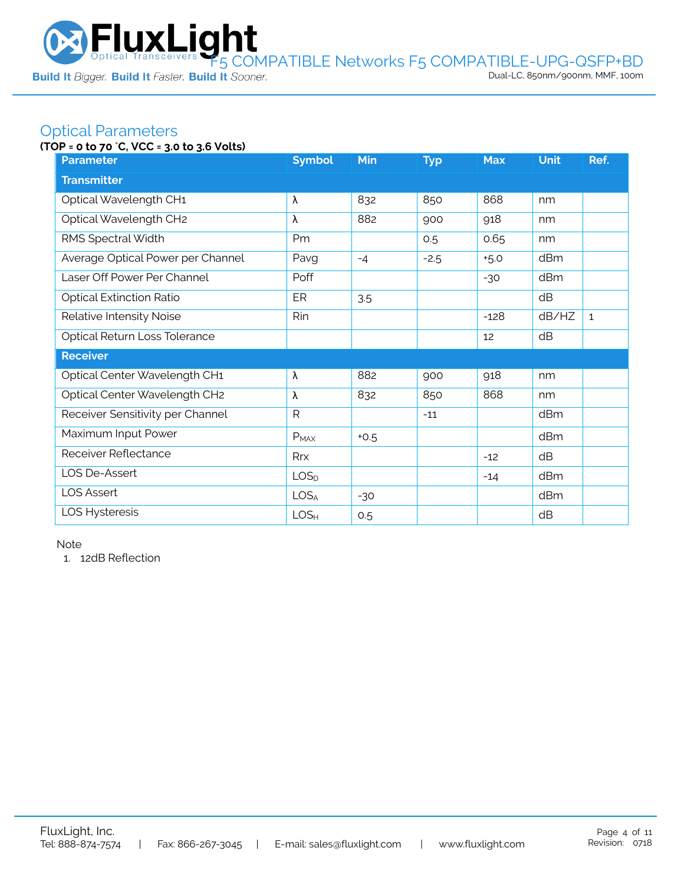

## Optical Parameters

### **(TOP = 0 to 70** °**C, VCC = 3.0 to 3.6 Volts)**

| <b>Parameter</b>                  | <b>Symbol</b>    | <b>Min</b> | <b>Typ</b> | <b>Max</b> | <b>Unit</b> | Ref.         |  |
|-----------------------------------|------------------|------------|------------|------------|-------------|--------------|--|
| <b>Transmitter</b>                |                  |            |            |            |             |              |  |
| Optical Wavelength CH1            | λ                | 832        | 850        | 868        | nm          |              |  |
| Optical Wavelength CH2            | λ                | 882        | 900        | 918        | nm          |              |  |
| RMS Spectral Width                | Pm               |            | 0.5        | 0.65       | nm          |              |  |
| Average Optical Power per Channel | Pavg             | $-4$       | $-2.5$     | $+5.0$     | dBm         |              |  |
| Laser Off Power Per Channel       | Poff             |            |            | $-30$      | dBm         |              |  |
| <b>Optical Extinction Ratio</b>   | ER               | 3.5        |            |            | dB          |              |  |
| Relative Intensity Noise          | Rin              |            |            | $-128$     | dB/HZ       | $\mathbf{1}$ |  |
| Optical Return Loss Tolerance     |                  |            |            | 12         | dB          |              |  |
| <b>Receiver</b>                   |                  |            |            |            |             |              |  |
| Optical Center Wavelength CH1     | λ                | 882        | 900        | 918        | nm          |              |  |
| Optical Center Wavelength CH2     | λ                | 832        | 850        | 868        | nm          |              |  |
| Receiver Sensitivity per Channel  | $\mathsf{R}$     |            | $-11$      |            | dBm         |              |  |
| Maximum Input Power               | $P_{MAX}$        | $+0.5$     |            |            | dBm         |              |  |
| Receiver Reflectance              | Rrx              |            |            | $-12$      | dB          |              |  |
| LOS De-Assert                     | LOS <sub>D</sub> |            |            | $-14$      | dBm         |              |  |
| <b>LOS Assert</b>                 | LOS <sub>A</sub> | $-30$      |            |            | dBm         |              |  |
| LOS Hysteresis                    | LOS <sub>H</sub> | 0.5        |            |            | dB          |              |  |

Note

1. 12dB Reflection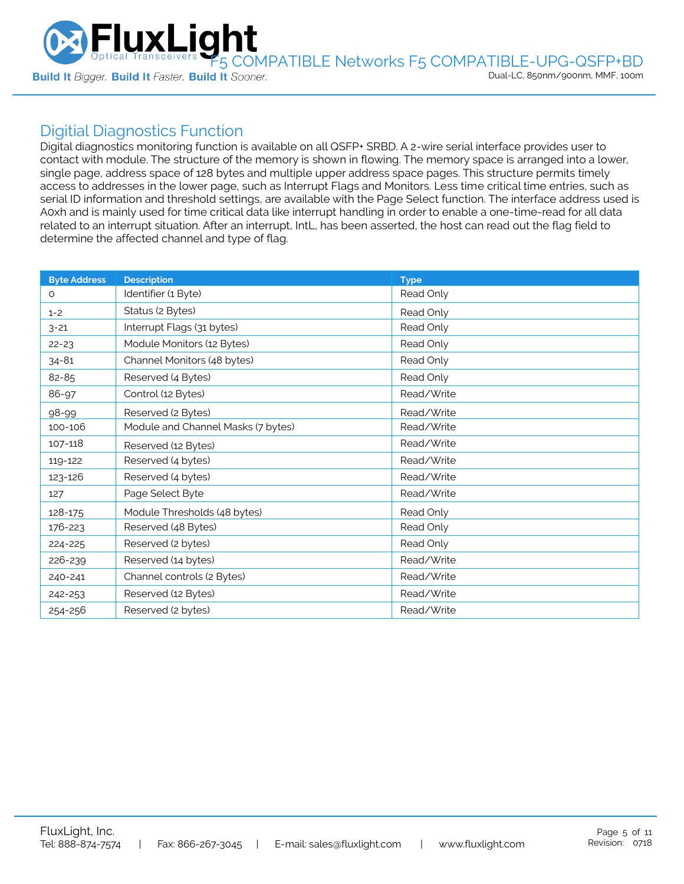

## Digitial Diagnostics Function

Digital diagnostics monitoring function is available on all QSFP+ SRBD. A 2-wire serial interface provides user to contact with module. The structure of the memory is shown in flowing. The memory space is arranged into a lower, single page, address space of 128 bytes and multiple upper address space pages. This structure permits timely access to addresses in the lower page, such as Interrupt Flags and Monitors. Less time critical time entries, such as serial ID information and threshold settings, are available with the Page Select function. The interface address used is A0xh and is mainly used for time critical data like interrupt handling in order to enable a one-time-read for all data related to an interrupt situation. After an interrupt, IntL, has been asserted, the host can read out the flag field to determine the affected channel and type of flag.

| <b>Byte Address</b> | <b>Description</b>                 | <b>Type</b> |
|---------------------|------------------------------------|-------------|
| 0                   | Identifier (1 Byte)                | Read Only   |
| $1 - 2$             | Status (2 Bytes)                   | Read Only   |
| $3 - 21$            | Interrupt Flags (31 bytes)         | Read Only   |
| $22 - 23$           | Module Monitors (12 Bytes)         | Read Only   |
| $34 - 81$           | Channel Monitors (48 bytes)        | Read Only   |
| 82-85               | Reserved (4 Bytes)                 | Read Only   |
| 86-97               | Control (12 Bytes)                 | Read/Write  |
| 98-99               | Reserved (2 Bytes)                 | Read/Write  |
| 100-106             | Module and Channel Masks (7 bytes) | Read/Write  |
| 107-118             | Reserved (12 Bytes)                | Read/Write  |
| 119-122             | Reserved (4 bytes)                 | Read/Write  |
| 123-126             | Reserved (4 bytes)                 | Read/Write  |
| 127                 | Page Select Byte                   | Read/Write  |
| 128-175             | Module Thresholds (48 bytes)       | Read Only   |
| 176-223             | Reserved (48 Bytes)                | Read Only   |
| 224-225             | Reserved (2 bytes)                 | Read Only   |
| 226-239             | Reserved (14 bytes)                | Read/Write  |
| 240-241             | Channel controls (2 Bytes)         | Read/Write  |
| 242-253             | Reserved (12 Bytes)                | Read/Write  |
| 254-256             | Reserved (2 bytes)                 | Read/Write  |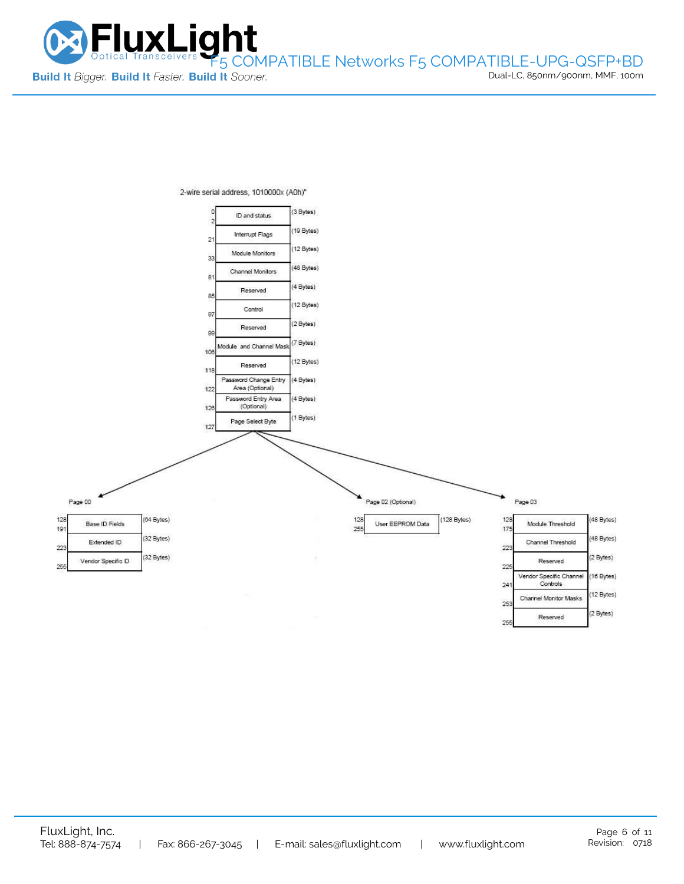



2-wire serial address, 1010000x (A0h)"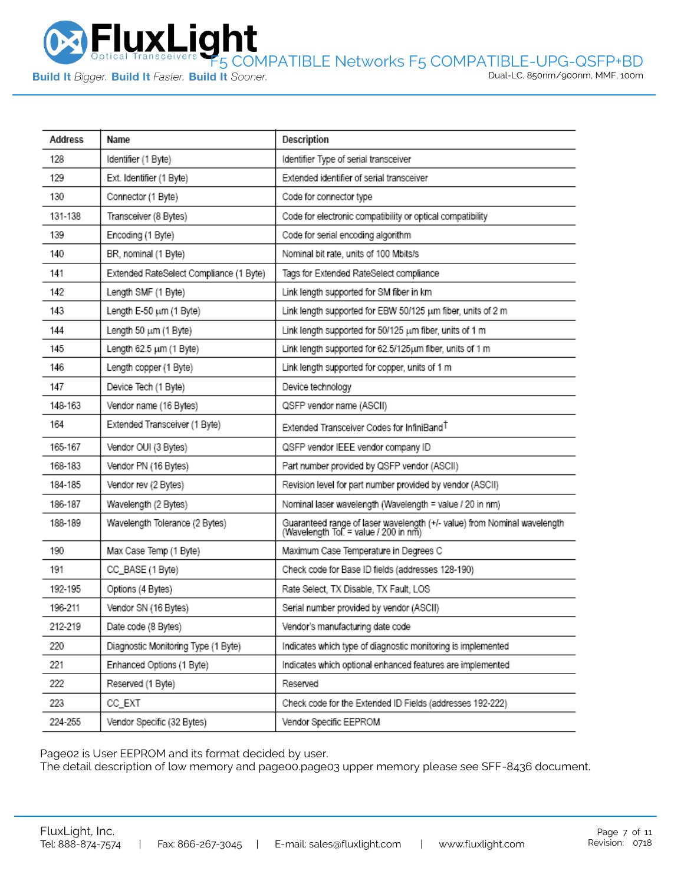

Dual-LC, 850nm/900nm, MMF, 100m

| Address | Name                                    | Description                                                                                                       |
|---------|-----------------------------------------|-------------------------------------------------------------------------------------------------------------------|
| 128     | Identifier (1 Byte)                     | Identifier Type of serial transceiver                                                                             |
| 129     | Ext. Identifier (1 Byte)                | Extended identifier of serial transceiver                                                                         |
| 130     | Connector (1 Byte)                      | Code for connector type                                                                                           |
| 131-138 | Transceiver (8 Bytes)                   | Code for electronic compatibility or optical compatibility                                                        |
| 139     | Encoding (1 Byte)                       | Code for serial encoding algorithm                                                                                |
| 140     | BR, nominal (1 Byte)                    | Nominal bit rate, units of 100 Mbits/s                                                                            |
| 141     | Extended RateSelect Compliance (1 Byte) | Tags for Extended RateSelect compliance                                                                           |
| 142     | Length SMF (1 Byte)                     | Link length supported for SM fiber in km                                                                          |
| 143     | Length E-50 um (1 Byte)                 | Link length supported for EBW 50/125 um fiber, units of 2 m                                                       |
| 144     | Length 50 um (1 Byte)                   | Link length supported for 50/125 um fiber, units of 1 m                                                           |
| 145     | Length 62.5 um (1 Byte)                 | Link length supported for 62.5/125um fiber, units of 1 m                                                          |
| 146     | Length copper (1 Byte)                  | Link length supported for copper, units of 1 m                                                                    |
| 147     | Device Tech (1 Byte)                    | Device technology                                                                                                 |
| 148-163 | Vendor name (16 Bytes)                  | QSFP vendor name (ASCII)                                                                                          |
| 164     | Extended Transceiver (1 Byte)           | Extended Transceiver Codes for InfiniBand <sup>T</sup>                                                            |
| 165-167 | Vendor OUI (3 Bytes)                    | QSFP vendor IEEE vendor company ID                                                                                |
| 168-183 | Vendor PN (16 Bytes)                    | Part number provided by QSFP vendor (ASCII)                                                                       |
| 184-185 | Vendor rev (2 Bytes)                    | Revision level for part number provided by vendor (ASCII)                                                         |
| 186-187 | Wavelength (2 Bytes)                    | Nominal laser wavelength (Wavelength = value / 20 in nm)                                                          |
| 188-189 | Wavelength Tolerance (2 Bytes)          | Guaranteed range of laser wavelength (+/- value) from Nominal wavelength<br>(Wavelength Tol. = value / 200 in nm) |
| 190     | Max Case Temp (1 Byte)                  | Maximum Case Temperature in Degrees C                                                                             |
| 191     | CC_BASE (1 Byte)                        | Check code for Base ID fields (addresses 128-190)                                                                 |
| 192-195 | Options (4 Bytes)                       | Rate Select, TX Disable, TX Fault, LOS                                                                            |
| 196-211 | Vendor SN (16 Bytes)                    | Serial number provided by vendor (ASCII)                                                                          |
| 212-219 | Date code (8 Bytes)                     | Vendor's manufacturing date code                                                                                  |
| 220     | Diagnostic Monitoring Type (1 Byte)     | Indicates which type of diagnostic monitoring is implemented                                                      |
| 221     | Enhanced Options (1 Byte)               | Indicates which optional enhanced features are implemented                                                        |
| 222     | Reserved (1 Byte)                       | Reserved                                                                                                          |
| 223     | CC_EXT                                  | Check code for the Extended ID Fields (addresses 192-222)                                                         |
| 224-255 | Vendor Specific (32 Bytes)              | Vendor Specific EEPROM                                                                                            |

Page02 is User EEPROM and its format decided by user.

The detail description of low memory and page00.page03 upper memory please see SFF-8436 document.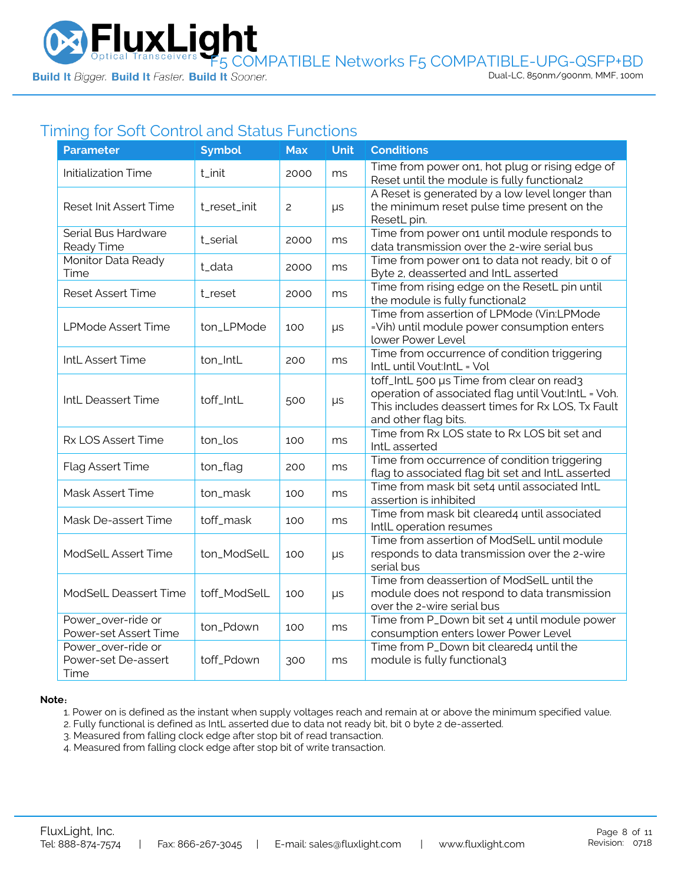

# Timing for Soft Control and Status Functions

| <b>Parameter</b>                                  | <b>Symbol</b> | <b>Max</b> | <b>Unit</b> | <b>Conditions</b>                                                                                                                                                             |
|---------------------------------------------------|---------------|------------|-------------|-------------------------------------------------------------------------------------------------------------------------------------------------------------------------------|
| <b>Initialization Time</b>                        | t_init        | 2000       | ms          | Time from power on1, hot plug or rising edge of<br>Reset until the module is fully functional2                                                                                |
| Reset Init Assert Time                            | t_reset_init  | 2          | μs          | A Reset is generated by a low level longer than<br>the minimum reset pulse time present on the<br>ResetL pin.                                                                 |
| Serial Bus Hardware<br>Ready Time                 | t_serial      | 2000       | ms          | Time from power on1 until module responds to<br>data transmission over the 2-wire serial bus                                                                                  |
| Monitor Data Ready<br>Time                        | t_data        | 2000       | ms          | Time from power on1 to data not ready, bit 0 of<br>Byte 2, deasserted and IntL asserted                                                                                       |
| <b>Reset Assert Time</b>                          | t_reset       | 2000       | ms          | Time from rising edge on the ResetL pin until<br>the module is fully functional2                                                                                              |
| <b>LPMode Assert Time</b>                         | ton_LPMode    | 100        | μs          | Time from assertion of LPMode (Vin:LPMode<br>=Vih) until module power consumption enters<br>lower Power Level                                                                 |
| IntL Assert Time                                  | ton_IntL      | 200        | ms          | Time from occurrence of condition triggering<br>IntL until Vout:IntL = Vol                                                                                                    |
| IntL Deassert Time                                | toff_IntL     | 500        | μs          | toff_IntL 500 µs Time from clear on read3<br>operation of associated flag until Vout:IntL = Voh.<br>This includes deassert times for Rx LOS, Tx Fault<br>and other flag bits. |
| Rx LOS Assert Time                                | ton_los       | 100        | ms          | Time from Rx LOS state to Rx LOS bit set and<br>IntL asserted                                                                                                                 |
| Flag Assert Time                                  | ton_flag      | 200        | ms          | Time from occurrence of condition triggering<br>flag to associated flag bit set and IntL asserted                                                                             |
| Mask Assert Time                                  | ton_mask      | 100        | ms          | Time from mask bit set4 until associated IntL<br>assertion is inhibited                                                                                                       |
| Mask De-assert Time                               | toff_mask     | 100        | ms          | Time from mask bit cleared4 until associated<br>IntlL operation resumes                                                                                                       |
| ModSelL Assert Time                               | ton_ModSelL   | 100        | μs          | Time from assertion of ModSelL until module<br>responds to data transmission over the 2-wire<br>serial bus                                                                    |
| ModSelL Deassert Time                             | toff_ModSelL  | 100        | $\mu s$     | Time from deassertion of ModSelL until the<br>module does not respond to data transmission<br>over the 2-wire serial bus                                                      |
| Power_over-ride or<br>Power-set Assert Time       | ton_Pdown     | 100        | ms          | Time from P_Down bit set 4 until module power<br>consumption enters lower Power Level                                                                                         |
| Power_over-ride or<br>Power-set De-assert<br>Time | toff_Pdown    | 300        | ms          | Time from P_Down bit cleared4 until the<br>module is fully functional3                                                                                                        |

#### **Note**:

1. Power on is defined as the instant when supply voltages reach and remain at or above the minimum specified value.

- 2. Fully functional is defined as IntL asserted due to data not ready bit, bit 0 byte 2 de-asserted.
- 3. Measured from falling clock edge after stop bit of read transaction.
- 4. Measured from falling clock edge after stop bit of write transaction.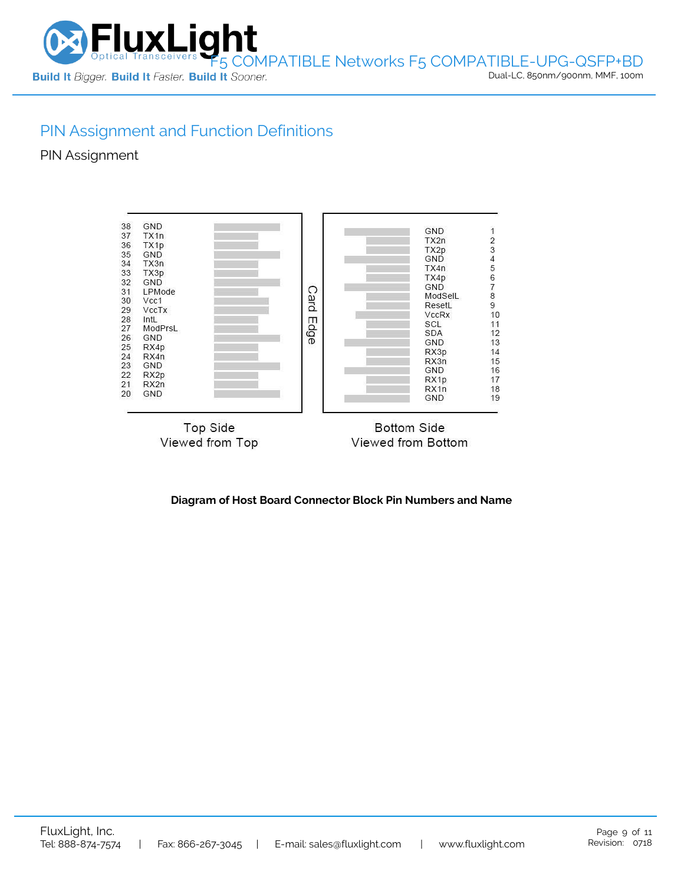

Dual-LC, 850nm/900nm, MMF, 100m

## PIN Assignment and Function Definitions

PIN Assignment



**Diagram of Host Board Connector Block Pin Numbers and Name**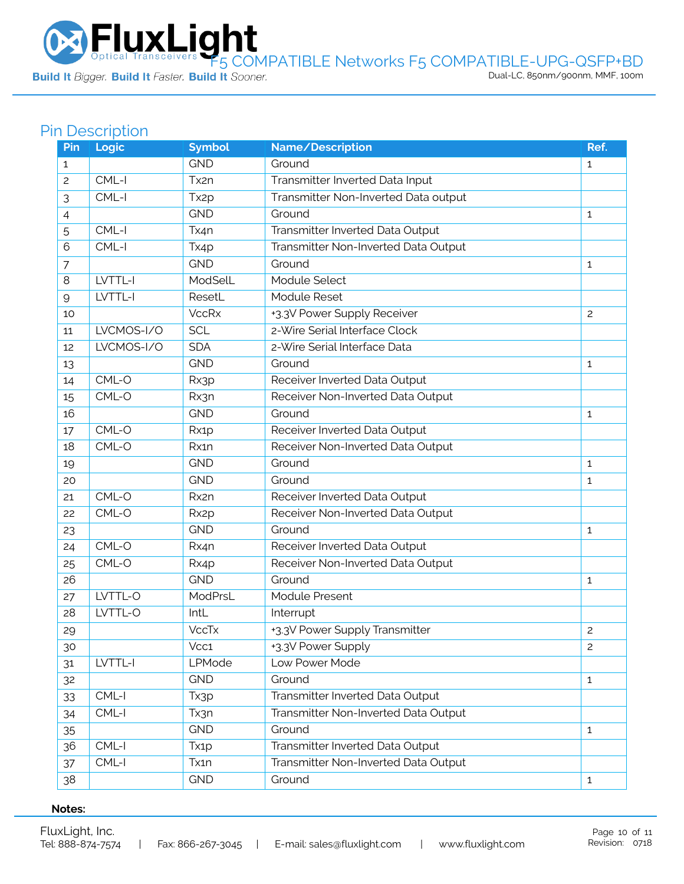Optical Transceivers F5 COMPATIBLE Networks F5 COMPATIBLE-UPG-QSFP+BD<br>Build It *Bigger*. Build It *Faster.* Build It Sooner.

# Pin Description

| Pin          | <b>Logic</b> | <b>Symbol</b>     | Name/Description                     | Ref.           |
|--------------|--------------|-------------------|--------------------------------------|----------------|
| $\mathbf{1}$ |              | <b>GND</b>        | Ground                               | $\mathbf{1}$   |
| 2            | $CML-I$      | Tx2n              | Transmitter Inverted Data Input      |                |
| 3            | $CML-I$      | Tx <sub>2</sub> p | Transmitter Non-Inverted Data output |                |
| 4            |              | <b>GND</b>        | Ground                               | $\mathbf{1}$   |
| 5            | CML-I        | Tx4n              | Transmitter Inverted Data Output     |                |
| 6            | CML-I        | Tx4p              | Transmitter Non-Inverted Data Output |                |
| 7            |              | <b>GND</b>        | Ground                               | $\mathbf{1}$   |
| 8            | LVTTL-I      | ModSelL           | Module Select                        |                |
| 9            | LVTTL-I      | ResetL            | Module Reset                         |                |
| 10           |              | <b>VccRx</b>      | +3.3V Power Supply Receiver          | $\mathbf{2}$   |
| 11           | LVCMOS-I/O   | <b>SCL</b>        | 2-Wire Serial Interface Clock        |                |
| 12           | LVCMOS-I/O   | <b>SDA</b>        | 2-Wire Serial Interface Data         |                |
| 13           |              | <b>GND</b>        | Ground                               | 1              |
| 14           | CML-O        | Rx3p              | Receiver Inverted Data Output        |                |
| 15           | CML-O        | Rx3n              | Receiver Non-Inverted Data Output    |                |
| 16           |              | <b>GND</b>        | Ground                               | $\mathbf{1}$   |
| 17           | CML-O        | Rx1p              | Receiver Inverted Data Output        |                |
| 18           | CML-O        | Rx1n              | Receiver Non-Inverted Data Output    |                |
| 19           |              | <b>GND</b>        | Ground                               | $\mathbf{1}$   |
| 20           |              | <b>GND</b>        | Ground                               | $\mathbf{1}$   |
| 21           | CML-O        | Rx2n              | Receiver Inverted Data Output        |                |
| 22           | CML-O        | Rx <sub>2</sub> p | Receiver Non-Inverted Data Output    |                |
| 23           |              | <b>GND</b>        | Ground                               | 1              |
| 24           | CML-O        | Rx4n              | Receiver Inverted Data Output        |                |
| 25           | CML-O        | Rx4p              | Receiver Non-Inverted Data Output    |                |
| 26           |              | <b>GND</b>        | Ground                               | 1              |
| 27           | LVTTL-O      | ModPrsL           | Module Present                       |                |
| 28           | LVTTL-O      | IntL              | Interrupt                            |                |
| 29           |              | <b>VccTx</b>      | +3.3V Power Supply Transmitter       | 2              |
| 30           |              | Vcc1              | +3.3V Power Supply                   | $\overline{c}$ |
| 31           | LVTTL-I      | LPMode            | Low Power Mode                       |                |
| 32           |              | <b>GND</b>        | Ground                               | $\mathbf{1}$   |
| 33           | $CML-I$      | Tx3p              | Transmitter Inverted Data Output     |                |
| 34           | CML-I        | Tx3n              | Transmitter Non-Inverted Data Output |                |
| 35           |              | <b>GND</b>        | Ground                               | $\mathbf{1}$   |
| 36           | CML-I        | Tx <sub>1</sub> p | Transmitter Inverted Data Output     |                |
| 37           | $CML-I$      | Tx1n              | Transmitter Non-Inverted Data Output |                |
| 38           |              | <b>GND</b>        | Ground                               | $\mathbf{1}$   |

#### **Notes:**